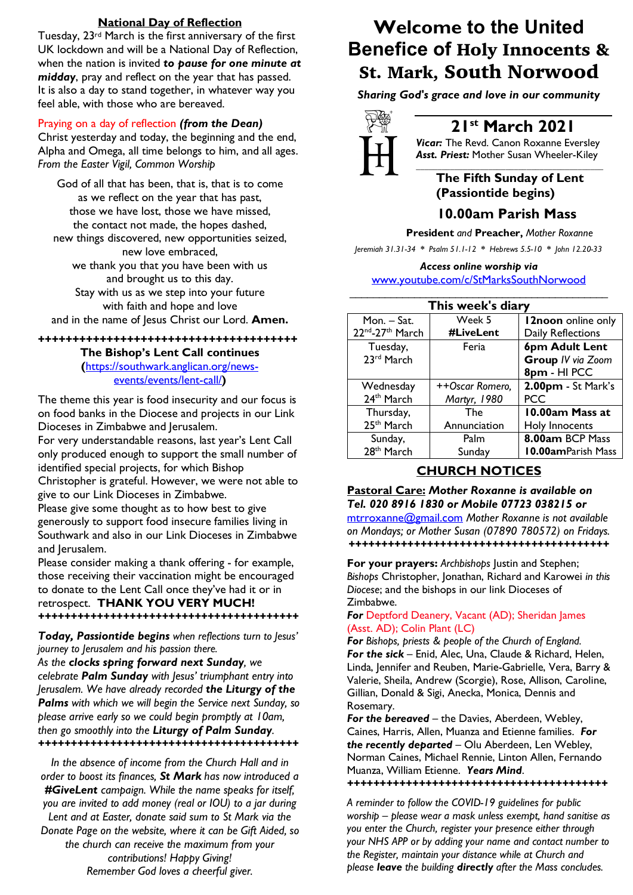#### **National Day of Reflection**

Tuesday, 23rd March is the first anniversary of the first UK lockdown and will be a National Day of Reflection, when the nation is invited *to pause for one minute at midday*, pray and reflect on the year that has passed. It is also a day to stand together, in whatever way you feel able, with those who are bereaved.

#### Praying on a day of reflection *(from the Dean)*

Christ yesterday and today, the beginning and the end, Alpha and Omega, all time belongs to him, and all ages. *From the Easter Vigil, Common Worship*

God of all that has been, that is, that is to come as we reflect on the year that has past, those we have lost, those we have missed, the contact not made, the hopes dashed, new things discovered, new opportunities seized, new love embraced, we thank you that you have been with us and brought us to this day. Stay with us as we step into your future with faith and hope and love and in the name of Jesus Christ our Lord. **Amen.**

#### **++++++++++++++++++++++++++++++++++++++ The Bishop's Lent Call continues (**https://southwark.anglican.org/news-

events/events/lent-call/**)**

The theme this year is food insecurity and our focus is on food banks in the Diocese and projects in our Link Dioceses in Zimbabwe and Jerusalem.

For very understandable reasons, last year's Lent Call only produced enough to support the small number of identified special projects, for which Bishop Christopher is grateful. However, we were not able to

give to our Link Dioceses in Zimbabwe.

Please give some thought as to how best to give generously to support food insecure families living in Southwark and also in our Link Dioceses in Zimbabwe and Jerusalem.

Please consider making a thank offering - for example, those receiving their vaccination might be encouraged to donate to the Lent Call once they've had it or in retrospect. **THANK YOU VERY MUCH!** *++++++++++++++++++++++++++++++++++++++++*

#### *Today, Passiontide begins when reflections turn to Jesus' journey to Jerusalem and his passion there.*

*As the clocks spring forward next Sunday, we celebrate Palm Sunday with Jesus' triumphant entry into Jerusalem. We have already recorded the Liturgy of the Palms with which we will begin the Service next Sunday, so please arrive early so we could begin promptly at 10am, then go smoothly into the Liturgy of Palm Sunday. ++++++++++++++++++++++++++++++++++++++++*

*In the absence of income from the Church Hall and in order to boost its finances, St Mark has now introduced a #GiveLent campaign. While the name speaks for itself, you are invited to add money (real or IOU) to a jar during Lent and at Easter, donate said sum to St Mark via the Donate Page on the website, where it can be Gift Aided, so the church can receive the maximum from your contributions! Happy Giving! Remember God loves a cheerful giver.*

# **Welcome to the United Benefice of** Holy Innocents & St. Mark, South Norwood

*Sharing God's grace and love in our community*



# **21st March 2021**

*Vicar:* The Revd. Canon Roxanne Eversley *Asst. Priest:* Mother Susan Wheeler-Kiley *\_\_\_\_\_\_\_\_\_\_\_\_\_\_\_\_\_\_\_\_\_\_\_\_\_\_\_\_\_\_\_\_\_\_\_\_\_\_\_\_\_\_\_\_*

### **The Fifth Sunday of Lent (Passiontide begins)**

## **10.00am Parish Mass**

 **President** *and* **Preacher,** *Mother Roxanne*

*Jeremiah 31.31-34 \* Psalm 51.1-12 \* Hebrews 5.5-10 \* John 12.20-33*

#### *Access online worship via* www.youtube.com/c/StMarksSouthNorwood \_\_\_\_\_\_\_\_\_\_\_\_\_\_\_\_\_\_\_\_\_\_\_\_\_\_\_\_\_\_\_\_\_\_\_\_\_\_\_\_\_\_\_\_

| This week's diary      |                 |                           |
|------------------------|-----------------|---------------------------|
| Mon. – Sat.            | Week 5          | <b>12noon</b> online only |
| 22nd-27th March        | #LiveLent       | Daily Reflections         |
| Tuesday,               | Feria           | 6pm Adult Lent            |
| 23rd March             |                 | Group IV via Zoom         |
|                        |                 | 8pm - HI PCC              |
| Wednesday              | ++Oscar Romero, | 2.00pm - St Mark's        |
| 24 <sup>th</sup> March | Martyr, 1980    | <b>PCC</b>                |
| Thursday,              | The             | 10.00am Mass at           |
| 25 <sup>th</sup> March | Annunciation    | Holy Innocents            |
| Sunday,                | Palm            | 8.00am BCP Mass           |
| 28 <sup>th</sup> March | Sunday          | 10.00amParish Mass        |

## **CHURCH NOTICES**

#### **Pastoral Care:** *Mother Roxanne is available on Tel. 020 8916 1830 or Mobile 07723 038215 or*

mtrroxanne@gmail.com *Mother Roxanne is not available on Mondays; or Mother Susan (07890 780572) on Fridays. ++++++++++++++++++++++++++++++++++++++++*

**For your prayers:** *Archbishops* Justin and Stephen; *Bishops* Christopher, Jonathan, Richard and Karowei *in this Diocese*; and the bishops in our link Dioceses of Zimbabwe.

#### *For* Deptford Deanery, Vacant (AD); Sheridan James (Asst. AD); Colin Plant (LC)

*For Bishops, priests & people of the Church of England. For the sick* – Enid, Alec, Una, Claude & Richard, Helen, Linda, Jennifer and Reuben, Marie-Gabrielle, Vera, Barry & Valerie, Sheila, Andrew (Scorgie), Rose, Allison, Caroline, Gillian, Donald & Sigi, Anecka, Monica, Dennis and Rosemary.

*For the bereaved –* the Davies, Aberdeen, Webley, Caines, Harris, Allen, Muanza and Etienne families. *For the recently departed* – Olu Aberdeen, Len Webley, Norman Caines, Michael Rennie, Linton Allen, Fernando Muanza, William Etienne. *Years Mind*. *++++++++++++++++++++++++++++++++++++++++*

*A reminder to follow the COVID-19 guidelines for public worship – please wear a mask unless exempt, hand sanitise as you enter the Church, register your presence either through your NHS APP or by adding your name and contact number to the Register, maintain your distance while at Church and please leave the building directly after the Mass concludes.*